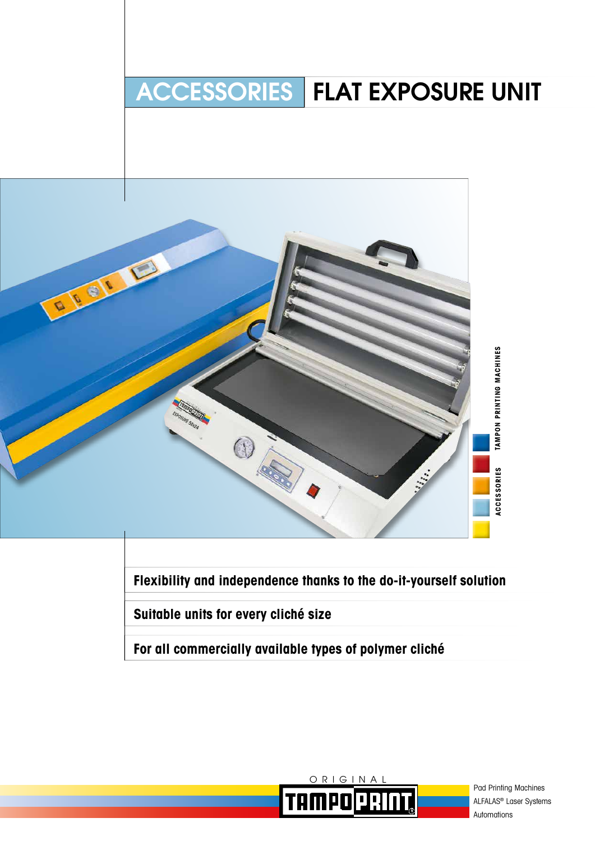# ACCESSORIES FLAT EXPOSURE UNIT



**Flexibility and independence thanks to the do-it-yourself solution**

**Suitable units for every cliché size**

**For all commercially available types of polymer cliché**



Pad Printing Machines ALFALAS® Laser Systems Automations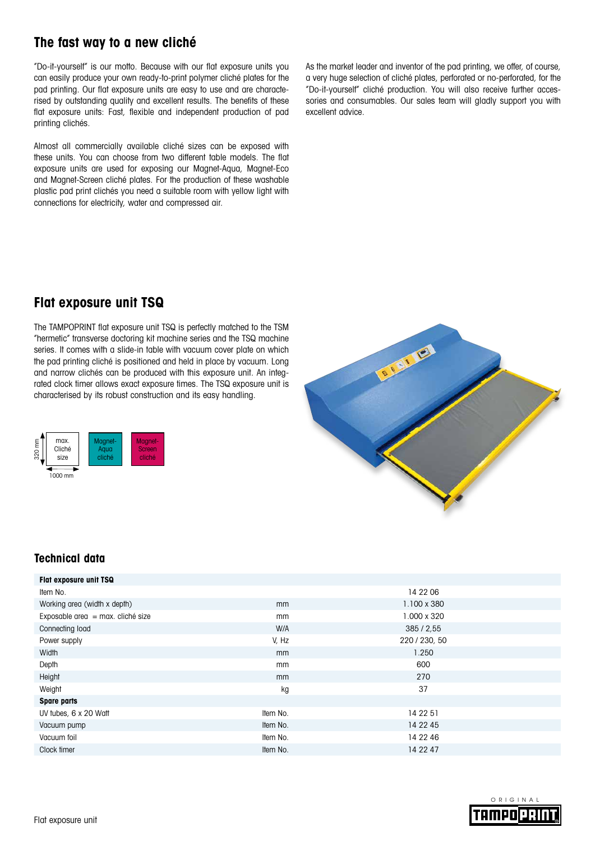### **The fast way to a new cliché**

"Do-it-yourself" is our motto. Because with our flat exposure units you can easily produce your own ready-to-print polymer cliché plates for the pad printing. Our flat exposure units are easy to use and are characterised by outstanding quality and excellent results. The benefits of these flat exposure units: Fast, flexible and independent production of pad printing clichés.

Almost all commercially available cliché sizes can be exposed with these units. You can choose from two different table models. The flat exposure units are used for exposing our Magnet-Aqua, Magnet-Eco and Magnet-Screen cliché plates. For the production of these washable plastic pad print clichés you need a suitable room with yellow light with connections for electricity, water and compressed air.

As the market leader and inventor of the pad printing, we offer, of course, a very huge selection of cliché plates, perforated or no-perforated, for the "Do-it-yourself" cliché production. You will also receive further accessories and consumables. Our sales team will gladly support you with excellent advice.

## **Flat exposure unit TSQ**

The TAMPOPRINT flat exposure unit TSQ is perfectly matched to the TSM "hermetic" transverse doctoring kit machine series and the TSQ machine series. It comes with a slide-in table with vacuum cover plate on which the pad printing cliché is positioned and held in place by vacuum. Long and narrow clichés can be produced with this exposure unit. An integrated clock timer allows exact exposure times. The TSQ exposure unit is characterised by its robust construction and its easy handling.





### **Technical data**

| Flat exposure unit TSQ            |          |               |  |
|-----------------------------------|----------|---------------|--|
| Item No.                          |          | 14 22 06      |  |
| Working area (width x depth)      | mm       | 1.100 x 380   |  |
| Exposable area = max. cliché size | mm       | 1.000 x 320   |  |
| Connecting load                   | W/A      | 385/2.55      |  |
| Power supply                      | V, Hz    | 220 / 230, 50 |  |
| Width                             | mm       | 1.250         |  |
| Depth                             | mm       | 600           |  |
| Height                            | mm       | 270           |  |
| Weight                            | kg       | 37            |  |
| <b>Spare parts</b>                |          |               |  |
| UV tubes, 6 x 20 Watt             | Item No. | 14 22 51      |  |
| Vacuum pump                       | Item No. | 14 22 45      |  |
| Vacuum foil                       | Item No. | 14 22 46      |  |
| Clock timer                       | Item No. | 14 22 47      |  |

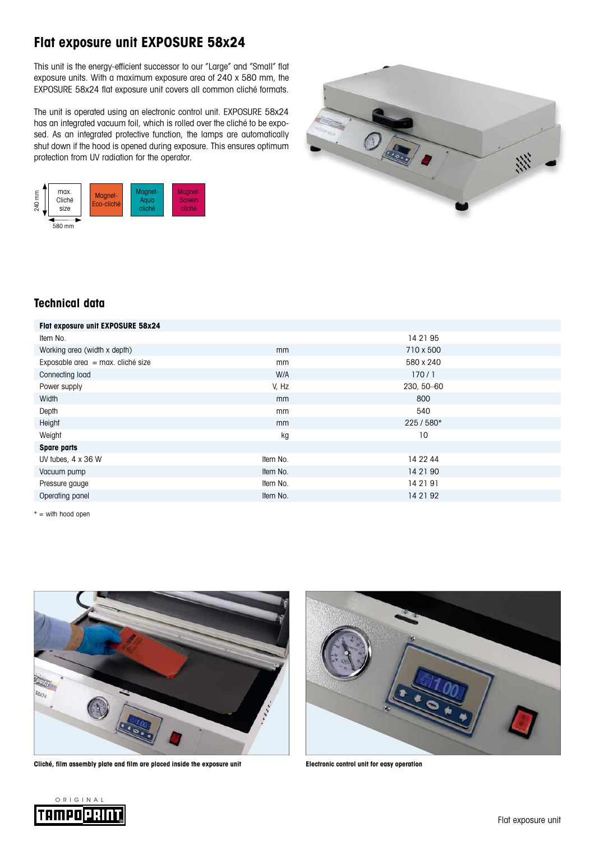# **Flat exposure unit EXPOSURE 58x24**

This unit is the energy-efficient successor to our "Large" and "Small" flat exposure units. With a maximum exposure area of 240 x 580 mm, the EXPOSURE 58x24 flat exposure unit covers all common cliché formats.

The unit is operated using an electronic control unit. EXPOSURE 58x24 has an integrated vacuum foil, which is rolled over the cliché to be exposed. As an integrated protective function, the lamps are automatically shut down if the hood is opened during exposure. This ensures optimum protection from UV radiation for the operator.





### **Technical data**

| Flat exposure unit EXPOSURE 58x24   |          |            |
|-------------------------------------|----------|------------|
| Item No.                            |          | 14 21 95   |
| Working area (width x depth)        | mm       | 710 x 500  |
| Exposable area $=$ max. cliché size | mm       | 580 x 240  |
| Connecting load                     | W/A      | 170/1      |
| Power supply                        | V, Hz    | 230, 50-60 |
| Width                               | mm       | 800        |
| Depth                               | mm       | 540        |
| Height                              | mm       | 225 / 580* |
| Weight                              | kg       | 10         |
| <b>Spare parts</b>                  |          |            |
| UV tubes, $4 \times 36$ W           | Item No. | 14 22 44   |
| Vacuum pump                         | Item No. | 14 21 90   |
| Pressure gauge                      | Item No. | 14 21 91   |
| Operating panel                     | Item No. | 14 21 92   |

 $* =$  with hood open



**Cliché, film assembly plate and film are placed inside the exposure unit Electronic control unit for easy operation**